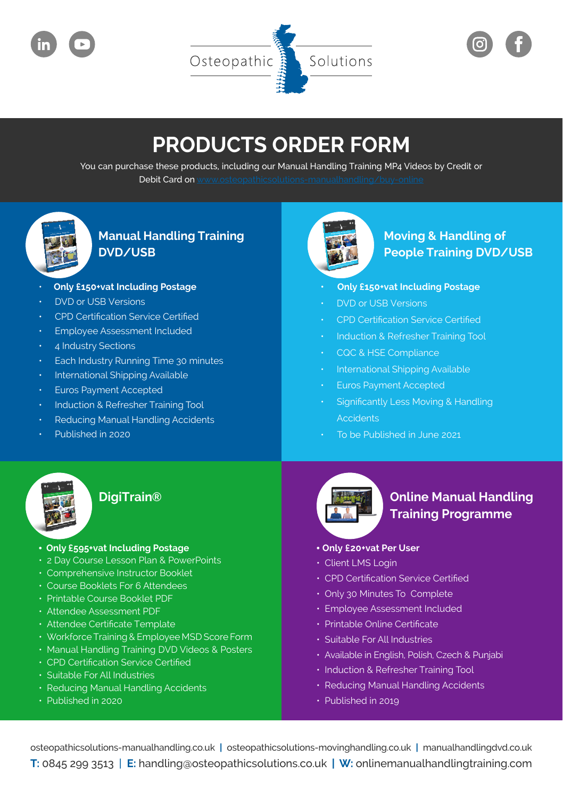

# **PRODUCTS ORDER FORM**

You can purchase these products, including our Manual Handling Training MP4 Videos by Credit or Debit Card on



## **Manual Handling Training DVD/USB**

- **Only £150+vat Including Postage**
- **DVD** or USB Versions
- CPD Certification Service Certified
- **Employee Assessment Included**
- 4 Industry Sections
- Each Industry Running Time 30 minutes
- International Shipping Available
- Euros Payment Accepted
- Induction & Refresher Training Tool
- Reducing Manual Handling Accidents
- Published in 2020



#### **DigiTrain®**

- • **Only £595+vat Including Postage**
- 2 Day Course Lesson Plan & PowerPoints
- $\cdot$  Comprehensive Instructor Booklet
- Course Booklets For 6 Attendees
- Printable Course Booklet PDF
- Attendee Assessment PDF
- Attendee Certificate Template
- Workforce Training & Employee MSD Score Form
- Manual Handling Training DVD Videos & Posters
- CPD Certification Service Certified
- Suitable For All Industries
- Reducing Manual Handling Accidents
- Published in 2020



### **Moving & Handling of People Training DVD/USB**

- **Only £150+vat Including Postage**
- **DVD** or USB Versions
- **CPD** Certification Service Certified
- **Induction & Refresher Training Tool**
- **CQC & HSE Compliance**
- International Shipping Available
- **Euros Payment Accepted**
- Significantly Less Moving & Handling **Accidents**
- To be Published in June 2021



### **Online Manual Handling Training Programme**

#### • **Only £20+vat Per User**

- Client LMS Login
- CPD Certification Service Certified
- Only 30 Minutes To Complete
- Employee Assessment Included
- • Printable Online Certificate
- $\cdot$  Suitable For All Industries
- Available in English, Polish, Czech & Punjabi
- Induction & Refresher Training Tool
- Reducing Manual Handling Accidents
- Published in 2019

osteopathicsolutions-manualhandling.co.uk **|** osteopathicsolutions-movinghandling.co.uk **|** manualhandlingdvd.co.uk **T:** 0845 299 3513 | **E:** handling@osteopathicsolutions.co.uk **| W:** onlinemanualhandlingtraining.com